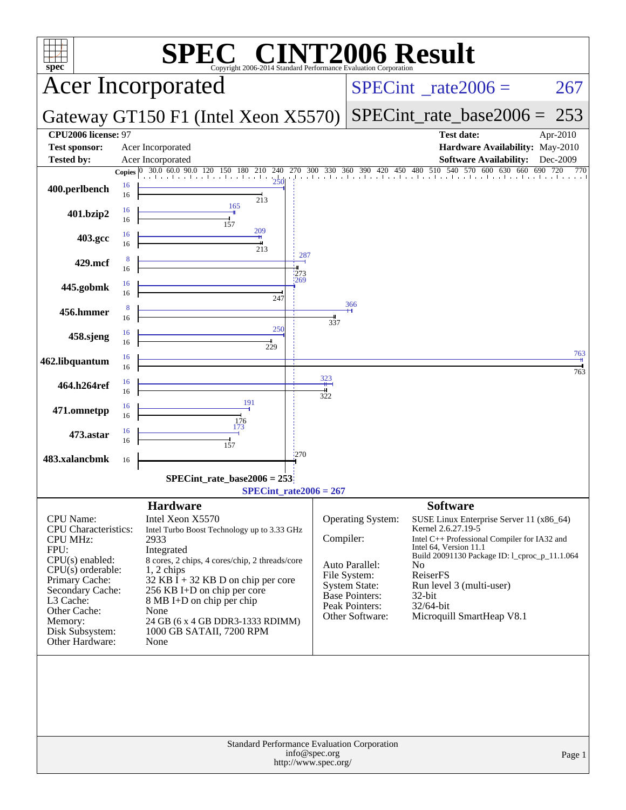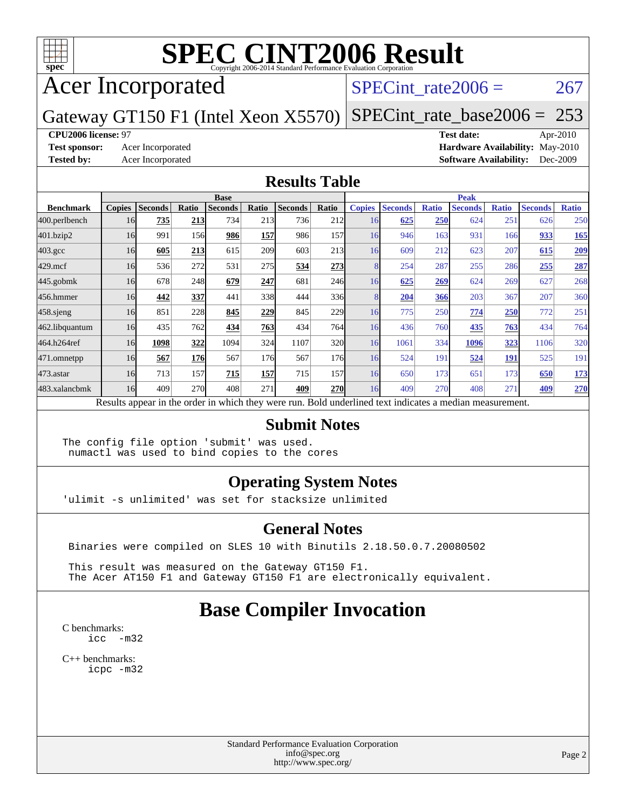

## Acer Incorporated

### SPECint rate $2006 = 267$

Gateway GT150 F1 (Intel Xeon X5570) [SPECint\\_rate\\_base2006 =](http://www.spec.org/auto/cpu2006/Docs/result-fields.html#SPECintratebase2006) 253

**[CPU2006 license:](http://www.spec.org/auto/cpu2006/Docs/result-fields.html#CPU2006license)** 97 **[Test date:](http://www.spec.org/auto/cpu2006/Docs/result-fields.html#Testdate)** Apr-2010 **[Test sponsor:](http://www.spec.org/auto/cpu2006/Docs/result-fields.html#Testsponsor)** Acer Incorporated **[Hardware Availability:](http://www.spec.org/auto/cpu2006/Docs/result-fields.html#HardwareAvailability)** May-2010 **[Tested by:](http://www.spec.org/auto/cpu2006/Docs/result-fields.html#Testedby)** Acer Incorporated **[Software Availability:](http://www.spec.org/auto/cpu2006/Docs/result-fields.html#SoftwareAvailability)** Dec-2009

### **[Results Table](http://www.spec.org/auto/cpu2006/Docs/result-fields.html#ResultsTable)**

|                  | <b>Base</b>   |                |            |                |       |                                                                                                          |                  | <b>Peak</b>   |                |              |                |              |                |              |
|------------------|---------------|----------------|------------|----------------|-------|----------------------------------------------------------------------------------------------------------|------------------|---------------|----------------|--------------|----------------|--------------|----------------|--------------|
| <b>Benchmark</b> | <b>Copies</b> | <b>Seconds</b> | Ratio      | <b>Seconds</b> | Ratio | <b>Seconds</b>                                                                                           | Ratio            | <b>Copies</b> | <b>Seconds</b> | <b>Ratio</b> | <b>Seconds</b> | <b>Ratio</b> | <b>Seconds</b> | <b>Ratio</b> |
| 400.perlbench    | 16            | 735            | 213        | 734            | 213   | 736                                                                                                      | 212              | 16            | 625            | 250          | 624            | 251          | 626            | 250          |
| 401.bzip2        | 16            | 991            | 156        | 986            | 157   | 986                                                                                                      | 157              | 16            | 946            | 163          | 931            | 166          | 933            | 165          |
| $403.\text{gcc}$ | 16            | 605            | 213        | 615            | 209   | 603                                                                                                      | 213              | 16            | 609            | 212          | 623            | 207          | 615            | <u>209</u>   |
| $429$ .mcf       | 16            | 536            | 272        | 531            | 275   | 534                                                                                                      | 273              |               | 254            | 287          | 255            | 286          | 255            | 287          |
| $445$ .gobm $k$  | 16            | 678            | 248        | 679            | 247   | 681                                                                                                      | 246              | 16            | 625            | 269          | 624            | 269          | 627            | 268          |
| 456.hmmer        | 16            | 442            | 337        | 441            | 338   | 444                                                                                                      | 336              |               | 204            | 366          | 203            | 367          | 207            | 360          |
| $458$ .sjeng     | 16            | 851            | 228        | 845            | 229   | 845                                                                                                      | 229              | 16            | 775            | 250          | 774            | 250          | 772            | 251          |
| 462.libquantum   | 16            | 435            | 762        | 434            | 763   | 434                                                                                                      | 764              | 16            | 436            | 760          | 435            | 763          | 434            | 764          |
| 464.h264ref      | 16            | 1098           | 322        | 1094           | 324   | 1107                                                                                                     | 320              | 16            | 1061           | 334          | 1096           | 323          | 1106           | 320          |
| 471.omnetpp      | 16            | 567            | <b>176</b> | 567            | 176   | 567                                                                                                      | 176 <sub>l</sub> | 16            | 524            | 191          | 524            | <b>191</b>   | 525            | 191          |
| 473.astar        | 16            | 713            | 157        | 715            | 157   | 715                                                                                                      | 157              | 16            | 650            | 173          | 651            | 173          | 650            | <u>173</u>   |
| 483.xalancbmk    | 16            | 409            | 270        | 408            | 271   | 409                                                                                                      | <b>270</b>       | 16            | 409            | 270          | 408            | 271          | 409            | <b>270</b>   |
|                  |               |                |            |                |       | Results appear in the order in which they were run. Bold underlined text indicates a median measurement. |                  |               |                |              |                |              |                |              |

### **[Submit Notes](http://www.spec.org/auto/cpu2006/Docs/result-fields.html#SubmitNotes)**

The config file option 'submit' was used. numactl was used to bind copies to the cores

### **[Operating System Notes](http://www.spec.org/auto/cpu2006/Docs/result-fields.html#OperatingSystemNotes)**

'ulimit -s unlimited' was set for stacksize unlimited

### **[General Notes](http://www.spec.org/auto/cpu2006/Docs/result-fields.html#GeneralNotes)**

Binaries were compiled on SLES 10 with Binutils 2.18.50.0.7.20080502

 This result was measured on the Gateway GT150 F1. The Acer AT150 F1 and Gateway GT150 F1 are electronically equivalent.

### **[Base Compiler Invocation](http://www.spec.org/auto/cpu2006/Docs/result-fields.html#BaseCompilerInvocation)**

[C benchmarks](http://www.spec.org/auto/cpu2006/Docs/result-fields.html#Cbenchmarks): icc  $-m32$ 

[C++ benchmarks:](http://www.spec.org/auto/cpu2006/Docs/result-fields.html#CXXbenchmarks) [icpc -m32](http://www.spec.org/cpu2006/results/res2010q3/cpu2006-20100608-11682.flags.html#user_CXXbase_intel_icpc_32bit_4e5a5ef1a53fd332b3c49e69c3330699)

> Standard Performance Evaluation Corporation [info@spec.org](mailto:info@spec.org) <http://www.spec.org/>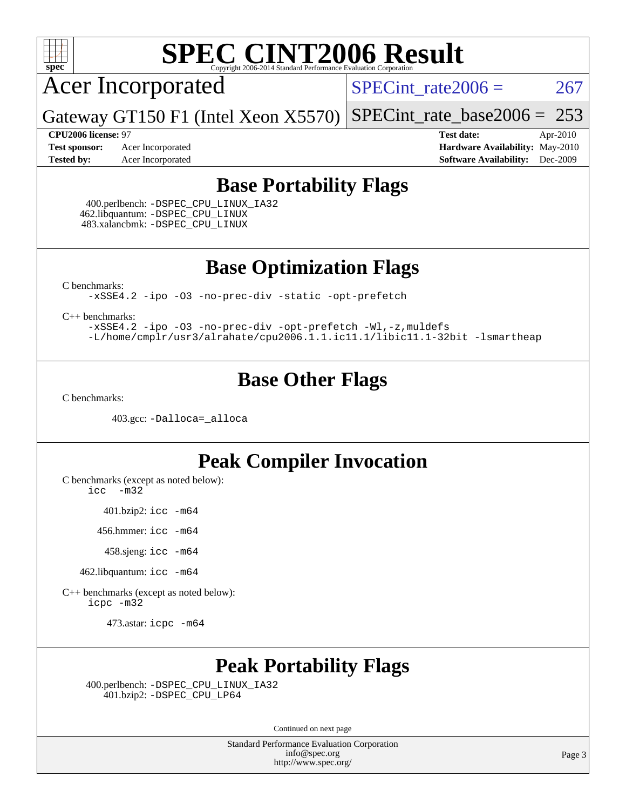

Acer Incorporated

SPECint rate $2006 = 267$ 

Gateway GT150 F1 (Intel Xeon X5570) [SPECint\\_rate\\_base2006 =](http://www.spec.org/auto/cpu2006/Docs/result-fields.html#SPECintratebase2006)  $253$ 

**[CPU2006 license:](http://www.spec.org/auto/cpu2006/Docs/result-fields.html#CPU2006license)** 97 **[Test date:](http://www.spec.org/auto/cpu2006/Docs/result-fields.html#Testdate)** Apr-2010 **[Test sponsor:](http://www.spec.org/auto/cpu2006/Docs/result-fields.html#Testsponsor)** Acer Incorporated **[Hardware Availability:](http://www.spec.org/auto/cpu2006/Docs/result-fields.html#HardwareAvailability)** May-2010 **[Tested by:](http://www.spec.org/auto/cpu2006/Docs/result-fields.html#Testedby)** Acer Incorporated **[Software Availability:](http://www.spec.org/auto/cpu2006/Docs/result-fields.html#SoftwareAvailability)** Dec-2009

### **[Base Portability Flags](http://www.spec.org/auto/cpu2006/Docs/result-fields.html#BasePortabilityFlags)**

 400.perlbench: [-DSPEC\\_CPU\\_LINUX\\_IA32](http://www.spec.org/cpu2006/results/res2010q3/cpu2006-20100608-11682.flags.html#b400.perlbench_baseCPORTABILITY_DSPEC_CPU_LINUX_IA32) 462.libquantum: [-DSPEC\\_CPU\\_LINUX](http://www.spec.org/cpu2006/results/res2010q3/cpu2006-20100608-11682.flags.html#b462.libquantum_baseCPORTABILITY_DSPEC_CPU_LINUX) 483.xalancbmk: [-DSPEC\\_CPU\\_LINUX](http://www.spec.org/cpu2006/results/res2010q3/cpu2006-20100608-11682.flags.html#b483.xalancbmk_baseCXXPORTABILITY_DSPEC_CPU_LINUX)

**[Base Optimization Flags](http://www.spec.org/auto/cpu2006/Docs/result-fields.html#BaseOptimizationFlags)**

[C benchmarks](http://www.spec.org/auto/cpu2006/Docs/result-fields.html#Cbenchmarks):

[-xSSE4.2](http://www.spec.org/cpu2006/results/res2010q3/cpu2006-20100608-11682.flags.html#user_CCbase_f-xSSE42_f91528193cf0b216347adb8b939d4107) [-ipo](http://www.spec.org/cpu2006/results/res2010q3/cpu2006-20100608-11682.flags.html#user_CCbase_f-ipo) [-O3](http://www.spec.org/cpu2006/results/res2010q3/cpu2006-20100608-11682.flags.html#user_CCbase_f-O3) [-no-prec-div](http://www.spec.org/cpu2006/results/res2010q3/cpu2006-20100608-11682.flags.html#user_CCbase_f-no-prec-div) [-static](http://www.spec.org/cpu2006/results/res2010q3/cpu2006-20100608-11682.flags.html#user_CCbase_f-static) [-opt-prefetch](http://www.spec.org/cpu2006/results/res2010q3/cpu2006-20100608-11682.flags.html#user_CCbase_f-opt-prefetch)

[C++ benchmarks:](http://www.spec.org/auto/cpu2006/Docs/result-fields.html#CXXbenchmarks)

[-xSSE4.2](http://www.spec.org/cpu2006/results/res2010q3/cpu2006-20100608-11682.flags.html#user_CXXbase_f-xSSE42_f91528193cf0b216347adb8b939d4107) [-ipo](http://www.spec.org/cpu2006/results/res2010q3/cpu2006-20100608-11682.flags.html#user_CXXbase_f-ipo) [-O3](http://www.spec.org/cpu2006/results/res2010q3/cpu2006-20100608-11682.flags.html#user_CXXbase_f-O3) [-no-prec-div](http://www.spec.org/cpu2006/results/res2010q3/cpu2006-20100608-11682.flags.html#user_CXXbase_f-no-prec-div) [-opt-prefetch](http://www.spec.org/cpu2006/results/res2010q3/cpu2006-20100608-11682.flags.html#user_CXXbase_f-opt-prefetch) [-Wl,-z,muldefs](http://www.spec.org/cpu2006/results/res2010q3/cpu2006-20100608-11682.flags.html#user_CXXbase_link_force_multiple1_74079c344b956b9658436fd1b6dd3a8a) [-L/home/cmplr/usr3/alrahate/cpu2006.1.1.ic11.1/libic11.1-32bit -lsmartheap](http://www.spec.org/cpu2006/results/res2010q3/cpu2006-20100608-11682.flags.html#user_CXXbase_SmartHeap_d86dffe4a79b79ef8890d5cce17030c3)

### **[Base Other Flags](http://www.spec.org/auto/cpu2006/Docs/result-fields.html#BaseOtherFlags)**

[C benchmarks](http://www.spec.org/auto/cpu2006/Docs/result-fields.html#Cbenchmarks):

403.gcc: [-Dalloca=\\_alloca](http://www.spec.org/cpu2006/results/res2010q3/cpu2006-20100608-11682.flags.html#b403.gcc_baseEXTRA_CFLAGS_Dalloca_be3056838c12de2578596ca5467af7f3)

### **[Peak Compiler Invocation](http://www.spec.org/auto/cpu2006/Docs/result-fields.html#PeakCompilerInvocation)**

[C benchmarks \(except as noted below\)](http://www.spec.org/auto/cpu2006/Docs/result-fields.html#Cbenchmarksexceptasnotedbelow):

[icc -m32](http://www.spec.org/cpu2006/results/res2010q3/cpu2006-20100608-11682.flags.html#user_CCpeak_intel_icc_32bit_5ff4a39e364c98233615fdd38438c6f2)

401.bzip2: [icc -m64](http://www.spec.org/cpu2006/results/res2010q3/cpu2006-20100608-11682.flags.html#user_peakCCLD401_bzip2_intel_icc_64bit_bda6cc9af1fdbb0edc3795bac97ada53)

456.hmmer: [icc -m64](http://www.spec.org/cpu2006/results/res2010q3/cpu2006-20100608-11682.flags.html#user_peakCCLD456_hmmer_intel_icc_64bit_bda6cc9af1fdbb0edc3795bac97ada53)

458.sjeng: [icc -m64](http://www.spec.org/cpu2006/results/res2010q3/cpu2006-20100608-11682.flags.html#user_peakCCLD458_sjeng_intel_icc_64bit_bda6cc9af1fdbb0edc3795bac97ada53)

462.libquantum: [icc -m64](http://www.spec.org/cpu2006/results/res2010q3/cpu2006-20100608-11682.flags.html#user_peakCCLD462_libquantum_intel_icc_64bit_bda6cc9af1fdbb0edc3795bac97ada53)

[C++ benchmarks \(except as noted below\):](http://www.spec.org/auto/cpu2006/Docs/result-fields.html#CXXbenchmarksexceptasnotedbelow) [icpc -m32](http://www.spec.org/cpu2006/results/res2010q3/cpu2006-20100608-11682.flags.html#user_CXXpeak_intel_icpc_32bit_4e5a5ef1a53fd332b3c49e69c3330699)

473.astar: [icpc -m64](http://www.spec.org/cpu2006/results/res2010q3/cpu2006-20100608-11682.flags.html#user_peakCXXLD473_astar_intel_icpc_64bit_fc66a5337ce925472a5c54ad6a0de310)

### **[Peak Portability Flags](http://www.spec.org/auto/cpu2006/Docs/result-fields.html#PeakPortabilityFlags)**

 400.perlbench: [-DSPEC\\_CPU\\_LINUX\\_IA32](http://www.spec.org/cpu2006/results/res2010q3/cpu2006-20100608-11682.flags.html#b400.perlbench_peakCPORTABILITY_DSPEC_CPU_LINUX_IA32) 401.bzip2: [-DSPEC\\_CPU\\_LP64](http://www.spec.org/cpu2006/results/res2010q3/cpu2006-20100608-11682.flags.html#suite_peakCPORTABILITY401_bzip2_DSPEC_CPU_LP64)

Continued on next page

Standard Performance Evaluation Corporation [info@spec.org](mailto:info@spec.org) <http://www.spec.org/>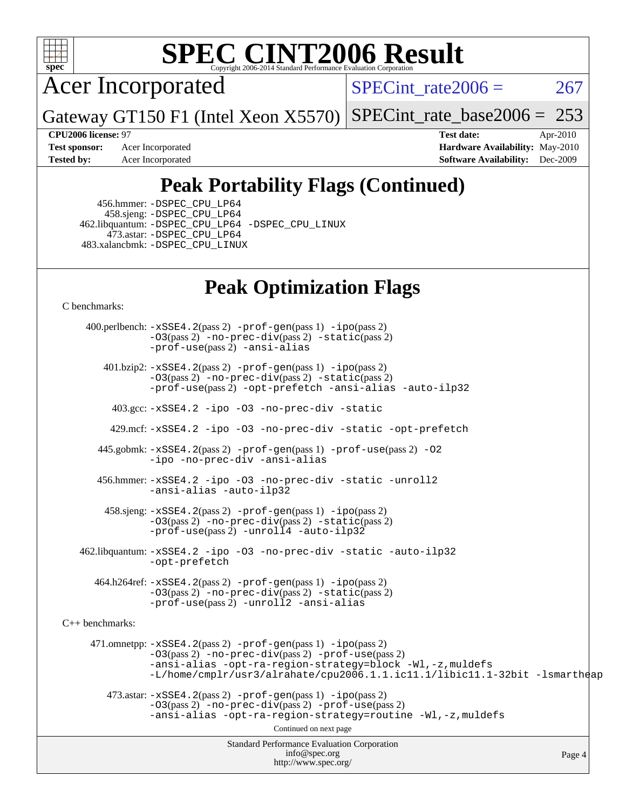

Acer Incorporated

SPECint rate $2006 = 267$ 

Gateway GT150 F1 (Intel Xeon X5570) [SPECint\\_rate\\_base2006 =](http://www.spec.org/auto/cpu2006/Docs/result-fields.html#SPECintratebase2006) 253

**[CPU2006 license:](http://www.spec.org/auto/cpu2006/Docs/result-fields.html#CPU2006license)** 97 **[Test date:](http://www.spec.org/auto/cpu2006/Docs/result-fields.html#Testdate)** Apr-2010 **[Test sponsor:](http://www.spec.org/auto/cpu2006/Docs/result-fields.html#Testsponsor)** Acer Incorporated **[Hardware Availability:](http://www.spec.org/auto/cpu2006/Docs/result-fields.html#HardwareAvailability)** May-2010 **[Tested by:](http://www.spec.org/auto/cpu2006/Docs/result-fields.html#Testedby)** Acer Incorporated **[Software Availability:](http://www.spec.org/auto/cpu2006/Docs/result-fields.html#SoftwareAvailability)** Dec-2009

## **[Peak Portability Flags \(Continued\)](http://www.spec.org/auto/cpu2006/Docs/result-fields.html#PeakPortabilityFlags)**

 456.hmmer: [-DSPEC\\_CPU\\_LP64](http://www.spec.org/cpu2006/results/res2010q3/cpu2006-20100608-11682.flags.html#suite_peakCPORTABILITY456_hmmer_DSPEC_CPU_LP64) 458.sjeng: [-DSPEC\\_CPU\\_LP64](http://www.spec.org/cpu2006/results/res2010q3/cpu2006-20100608-11682.flags.html#suite_peakCPORTABILITY458_sjeng_DSPEC_CPU_LP64) 462.libquantum: [-DSPEC\\_CPU\\_LP64](http://www.spec.org/cpu2006/results/res2010q3/cpu2006-20100608-11682.flags.html#suite_peakCPORTABILITY462_libquantum_DSPEC_CPU_LP64) [-DSPEC\\_CPU\\_LINUX](http://www.spec.org/cpu2006/results/res2010q3/cpu2006-20100608-11682.flags.html#b462.libquantum_peakCPORTABILITY_DSPEC_CPU_LINUX) 473.astar: [-DSPEC\\_CPU\\_LP64](http://www.spec.org/cpu2006/results/res2010q3/cpu2006-20100608-11682.flags.html#suite_peakCXXPORTABILITY473_astar_DSPEC_CPU_LP64) 483.xalancbmk: [-DSPEC\\_CPU\\_LINUX](http://www.spec.org/cpu2006/results/res2010q3/cpu2006-20100608-11682.flags.html#b483.xalancbmk_peakCXXPORTABILITY_DSPEC_CPU_LINUX)

## **[Peak Optimization Flags](http://www.spec.org/auto/cpu2006/Docs/result-fields.html#PeakOptimizationFlags)**

[C benchmarks](http://www.spec.org/auto/cpu2006/Docs/result-fields.html#Cbenchmarks):

Standard Performance Evaluation Corporation [info@spec.org](mailto:info@spec.org) <http://www.spec.org/> Page 4 400.perlbench: [-xSSE4.2](http://www.spec.org/cpu2006/results/res2010q3/cpu2006-20100608-11682.flags.html#user_peakPASS2_CFLAGSPASS2_LDCFLAGS400_perlbench_f-xSSE42_f91528193cf0b216347adb8b939d4107)(pass 2) [-prof-gen](http://www.spec.org/cpu2006/results/res2010q3/cpu2006-20100608-11682.flags.html#user_peakPASS1_CFLAGSPASS1_LDCFLAGS400_perlbench_prof_gen_e43856698f6ca7b7e442dfd80e94a8fc)(pass 1) [-ipo](http://www.spec.org/cpu2006/results/res2010q3/cpu2006-20100608-11682.flags.html#user_peakPASS2_CFLAGSPASS2_LDCFLAGS400_perlbench_f-ipo)(pass 2) [-O3](http://www.spec.org/cpu2006/results/res2010q3/cpu2006-20100608-11682.flags.html#user_peakPASS2_CFLAGSPASS2_LDCFLAGS400_perlbench_f-O3)(pass 2) [-no-prec-div](http://www.spec.org/cpu2006/results/res2010q3/cpu2006-20100608-11682.flags.html#user_peakPASS2_CFLAGSPASS2_LDCFLAGS400_perlbench_f-no-prec-div)(pass 2) [-static](http://www.spec.org/cpu2006/results/res2010q3/cpu2006-20100608-11682.flags.html#user_peakPASS2_CFLAGSPASS2_LDCFLAGS400_perlbench_f-static)(pass 2) [-prof-use](http://www.spec.org/cpu2006/results/res2010q3/cpu2006-20100608-11682.flags.html#user_peakPASS2_CFLAGSPASS2_LDCFLAGS400_perlbench_prof_use_bccf7792157ff70d64e32fe3e1250b55)(pass 2) [-ansi-alias](http://www.spec.org/cpu2006/results/res2010q3/cpu2006-20100608-11682.flags.html#user_peakCOPTIMIZE400_perlbench_f-ansi-alias) 401.bzip2: [-xSSE4.2](http://www.spec.org/cpu2006/results/res2010q3/cpu2006-20100608-11682.flags.html#user_peakPASS2_CFLAGSPASS2_LDCFLAGS401_bzip2_f-xSSE42_f91528193cf0b216347adb8b939d4107)(pass 2) [-prof-gen](http://www.spec.org/cpu2006/results/res2010q3/cpu2006-20100608-11682.flags.html#user_peakPASS1_CFLAGSPASS1_LDCFLAGS401_bzip2_prof_gen_e43856698f6ca7b7e442dfd80e94a8fc)(pass 1) [-ipo](http://www.spec.org/cpu2006/results/res2010q3/cpu2006-20100608-11682.flags.html#user_peakPASS2_CFLAGSPASS2_LDCFLAGS401_bzip2_f-ipo)(pass 2) [-O3](http://www.spec.org/cpu2006/results/res2010q3/cpu2006-20100608-11682.flags.html#user_peakPASS2_CFLAGSPASS2_LDCFLAGS401_bzip2_f-O3)(pass 2) [-no-prec-div](http://www.spec.org/cpu2006/results/res2010q3/cpu2006-20100608-11682.flags.html#user_peakPASS2_CFLAGSPASS2_LDCFLAGS401_bzip2_f-no-prec-div)(pass 2) [-static](http://www.spec.org/cpu2006/results/res2010q3/cpu2006-20100608-11682.flags.html#user_peakPASS2_CFLAGSPASS2_LDCFLAGS401_bzip2_f-static)(pass 2) [-prof-use](http://www.spec.org/cpu2006/results/res2010q3/cpu2006-20100608-11682.flags.html#user_peakPASS2_CFLAGSPASS2_LDCFLAGS401_bzip2_prof_use_bccf7792157ff70d64e32fe3e1250b55)(pass 2) [-opt-prefetch](http://www.spec.org/cpu2006/results/res2010q3/cpu2006-20100608-11682.flags.html#user_peakCOPTIMIZE401_bzip2_f-opt-prefetch) [-ansi-alias](http://www.spec.org/cpu2006/results/res2010q3/cpu2006-20100608-11682.flags.html#user_peakCOPTIMIZE401_bzip2_f-ansi-alias) [-auto-ilp32](http://www.spec.org/cpu2006/results/res2010q3/cpu2006-20100608-11682.flags.html#user_peakCOPTIMIZE401_bzip2_f-auto-ilp32) 403.gcc: [-xSSE4.2](http://www.spec.org/cpu2006/results/res2010q3/cpu2006-20100608-11682.flags.html#user_peakCOPTIMIZE403_gcc_f-xSSE42_f91528193cf0b216347adb8b939d4107) [-ipo](http://www.spec.org/cpu2006/results/res2010q3/cpu2006-20100608-11682.flags.html#user_peakCOPTIMIZE403_gcc_f-ipo) [-O3](http://www.spec.org/cpu2006/results/res2010q3/cpu2006-20100608-11682.flags.html#user_peakCOPTIMIZE403_gcc_f-O3) [-no-prec-div](http://www.spec.org/cpu2006/results/res2010q3/cpu2006-20100608-11682.flags.html#user_peakCOPTIMIZE403_gcc_f-no-prec-div) [-static](http://www.spec.org/cpu2006/results/res2010q3/cpu2006-20100608-11682.flags.html#user_peakCOPTIMIZE403_gcc_f-static) 429.mcf: [-xSSE4.2](http://www.spec.org/cpu2006/results/res2010q3/cpu2006-20100608-11682.flags.html#user_peakCOPTIMIZE429_mcf_f-xSSE42_f91528193cf0b216347adb8b939d4107) [-ipo](http://www.spec.org/cpu2006/results/res2010q3/cpu2006-20100608-11682.flags.html#user_peakCOPTIMIZE429_mcf_f-ipo) [-O3](http://www.spec.org/cpu2006/results/res2010q3/cpu2006-20100608-11682.flags.html#user_peakCOPTIMIZE429_mcf_f-O3) [-no-prec-div](http://www.spec.org/cpu2006/results/res2010q3/cpu2006-20100608-11682.flags.html#user_peakCOPTIMIZE429_mcf_f-no-prec-div) [-static](http://www.spec.org/cpu2006/results/res2010q3/cpu2006-20100608-11682.flags.html#user_peakCOPTIMIZE429_mcf_f-static) [-opt-prefetch](http://www.spec.org/cpu2006/results/res2010q3/cpu2006-20100608-11682.flags.html#user_peakCOPTIMIZE429_mcf_f-opt-prefetch) 445.gobmk: [-xSSE4.2](http://www.spec.org/cpu2006/results/res2010q3/cpu2006-20100608-11682.flags.html#user_peakPASS2_CFLAGSPASS2_LDCFLAGS445_gobmk_f-xSSE42_f91528193cf0b216347adb8b939d4107)(pass 2) [-prof-gen](http://www.spec.org/cpu2006/results/res2010q3/cpu2006-20100608-11682.flags.html#user_peakPASS1_CFLAGSPASS1_LDCFLAGS445_gobmk_prof_gen_e43856698f6ca7b7e442dfd80e94a8fc)(pass 1) [-prof-use](http://www.spec.org/cpu2006/results/res2010q3/cpu2006-20100608-11682.flags.html#user_peakPASS2_CFLAGSPASS2_LDCFLAGS445_gobmk_prof_use_bccf7792157ff70d64e32fe3e1250b55)(pass 2) [-O2](http://www.spec.org/cpu2006/results/res2010q3/cpu2006-20100608-11682.flags.html#user_peakCOPTIMIZE445_gobmk_f-O2) [-ipo](http://www.spec.org/cpu2006/results/res2010q3/cpu2006-20100608-11682.flags.html#user_peakCOPTIMIZE445_gobmk_f-ipo) [-no-prec-div](http://www.spec.org/cpu2006/results/res2010q3/cpu2006-20100608-11682.flags.html#user_peakCOPTIMIZE445_gobmk_f-no-prec-div) [-ansi-alias](http://www.spec.org/cpu2006/results/res2010q3/cpu2006-20100608-11682.flags.html#user_peakCOPTIMIZE445_gobmk_f-ansi-alias) 456.hmmer: [-xSSE4.2](http://www.spec.org/cpu2006/results/res2010q3/cpu2006-20100608-11682.flags.html#user_peakCOPTIMIZE456_hmmer_f-xSSE42_f91528193cf0b216347adb8b939d4107) [-ipo](http://www.spec.org/cpu2006/results/res2010q3/cpu2006-20100608-11682.flags.html#user_peakCOPTIMIZE456_hmmer_f-ipo) [-O3](http://www.spec.org/cpu2006/results/res2010q3/cpu2006-20100608-11682.flags.html#user_peakCOPTIMIZE456_hmmer_f-O3) [-no-prec-div](http://www.spec.org/cpu2006/results/res2010q3/cpu2006-20100608-11682.flags.html#user_peakCOPTIMIZE456_hmmer_f-no-prec-div) [-static](http://www.spec.org/cpu2006/results/res2010q3/cpu2006-20100608-11682.flags.html#user_peakCOPTIMIZE456_hmmer_f-static) [-unroll2](http://www.spec.org/cpu2006/results/res2010q3/cpu2006-20100608-11682.flags.html#user_peakCOPTIMIZE456_hmmer_f-unroll_784dae83bebfb236979b41d2422d7ec2) [-ansi-alias](http://www.spec.org/cpu2006/results/res2010q3/cpu2006-20100608-11682.flags.html#user_peakCOPTIMIZE456_hmmer_f-ansi-alias) [-auto-ilp32](http://www.spec.org/cpu2006/results/res2010q3/cpu2006-20100608-11682.flags.html#user_peakCOPTIMIZE456_hmmer_f-auto-ilp32) 458.sjeng: [-xSSE4.2](http://www.spec.org/cpu2006/results/res2010q3/cpu2006-20100608-11682.flags.html#user_peakPASS2_CFLAGSPASS2_LDCFLAGS458_sjeng_f-xSSE42_f91528193cf0b216347adb8b939d4107)(pass 2) [-prof-gen](http://www.spec.org/cpu2006/results/res2010q3/cpu2006-20100608-11682.flags.html#user_peakPASS1_CFLAGSPASS1_LDCFLAGS458_sjeng_prof_gen_e43856698f6ca7b7e442dfd80e94a8fc)(pass 1) [-ipo](http://www.spec.org/cpu2006/results/res2010q3/cpu2006-20100608-11682.flags.html#user_peakPASS2_CFLAGSPASS2_LDCFLAGS458_sjeng_f-ipo)(pass 2) [-O3](http://www.spec.org/cpu2006/results/res2010q3/cpu2006-20100608-11682.flags.html#user_peakPASS2_CFLAGSPASS2_LDCFLAGS458_sjeng_f-O3)(pass 2) [-no-prec-div](http://www.spec.org/cpu2006/results/res2010q3/cpu2006-20100608-11682.flags.html#user_peakPASS2_CFLAGSPASS2_LDCFLAGS458_sjeng_f-no-prec-div)(pass 2) [-static](http://www.spec.org/cpu2006/results/res2010q3/cpu2006-20100608-11682.flags.html#user_peakPASS2_CFLAGSPASS2_LDCFLAGS458_sjeng_f-static)(pass 2) [-prof-use](http://www.spec.org/cpu2006/results/res2010q3/cpu2006-20100608-11682.flags.html#user_peakPASS2_CFLAGSPASS2_LDCFLAGS458_sjeng_prof_use_bccf7792157ff70d64e32fe3e1250b55)(pass 2) [-unroll4](http://www.spec.org/cpu2006/results/res2010q3/cpu2006-20100608-11682.flags.html#user_peakCOPTIMIZE458_sjeng_f-unroll_4e5e4ed65b7fd20bdcd365bec371b81f) [-auto-ilp32](http://www.spec.org/cpu2006/results/res2010q3/cpu2006-20100608-11682.flags.html#user_peakCOPTIMIZE458_sjeng_f-auto-ilp32) 462.libquantum: [-xSSE4.2](http://www.spec.org/cpu2006/results/res2010q3/cpu2006-20100608-11682.flags.html#user_peakCOPTIMIZE462_libquantum_f-xSSE42_f91528193cf0b216347adb8b939d4107) [-ipo](http://www.spec.org/cpu2006/results/res2010q3/cpu2006-20100608-11682.flags.html#user_peakCOPTIMIZE462_libquantum_f-ipo) [-O3](http://www.spec.org/cpu2006/results/res2010q3/cpu2006-20100608-11682.flags.html#user_peakCOPTIMIZE462_libquantum_f-O3) [-no-prec-div](http://www.spec.org/cpu2006/results/res2010q3/cpu2006-20100608-11682.flags.html#user_peakCOPTIMIZE462_libquantum_f-no-prec-div) [-static](http://www.spec.org/cpu2006/results/res2010q3/cpu2006-20100608-11682.flags.html#user_peakCOPTIMIZE462_libquantum_f-static) [-auto-ilp32](http://www.spec.org/cpu2006/results/res2010q3/cpu2006-20100608-11682.flags.html#user_peakCOPTIMIZE462_libquantum_f-auto-ilp32) [-opt-prefetch](http://www.spec.org/cpu2006/results/res2010q3/cpu2006-20100608-11682.flags.html#user_peakCOPTIMIZE462_libquantum_f-opt-prefetch) 464.h264ref: [-xSSE4.2](http://www.spec.org/cpu2006/results/res2010q3/cpu2006-20100608-11682.flags.html#user_peakPASS2_CFLAGSPASS2_LDCFLAGS464_h264ref_f-xSSE42_f91528193cf0b216347adb8b939d4107)(pass 2) [-prof-gen](http://www.spec.org/cpu2006/results/res2010q3/cpu2006-20100608-11682.flags.html#user_peakPASS1_CFLAGSPASS1_LDCFLAGS464_h264ref_prof_gen_e43856698f6ca7b7e442dfd80e94a8fc)(pass 1) [-ipo](http://www.spec.org/cpu2006/results/res2010q3/cpu2006-20100608-11682.flags.html#user_peakPASS2_CFLAGSPASS2_LDCFLAGS464_h264ref_f-ipo)(pass 2) [-O3](http://www.spec.org/cpu2006/results/res2010q3/cpu2006-20100608-11682.flags.html#user_peakPASS2_CFLAGSPASS2_LDCFLAGS464_h264ref_f-O3)(pass 2) [-no-prec-div](http://www.spec.org/cpu2006/results/res2010q3/cpu2006-20100608-11682.flags.html#user_peakPASS2_CFLAGSPASS2_LDCFLAGS464_h264ref_f-no-prec-div)(pass 2) [-static](http://www.spec.org/cpu2006/results/res2010q3/cpu2006-20100608-11682.flags.html#user_peakPASS2_CFLAGSPASS2_LDCFLAGS464_h264ref_f-static)(pass 2) [-prof-use](http://www.spec.org/cpu2006/results/res2010q3/cpu2006-20100608-11682.flags.html#user_peakPASS2_CFLAGSPASS2_LDCFLAGS464_h264ref_prof_use_bccf7792157ff70d64e32fe3e1250b55)(pass 2) [-unroll2](http://www.spec.org/cpu2006/results/res2010q3/cpu2006-20100608-11682.flags.html#user_peakCOPTIMIZE464_h264ref_f-unroll_784dae83bebfb236979b41d2422d7ec2) [-ansi-alias](http://www.spec.org/cpu2006/results/res2010q3/cpu2006-20100608-11682.flags.html#user_peakCOPTIMIZE464_h264ref_f-ansi-alias) [C++ benchmarks:](http://www.spec.org/auto/cpu2006/Docs/result-fields.html#CXXbenchmarks) 471.omnetpp: [-xSSE4.2](http://www.spec.org/cpu2006/results/res2010q3/cpu2006-20100608-11682.flags.html#user_peakPASS2_CXXFLAGSPASS2_LDCXXFLAGS471_omnetpp_f-xSSE42_f91528193cf0b216347adb8b939d4107)(pass 2) [-prof-gen](http://www.spec.org/cpu2006/results/res2010q3/cpu2006-20100608-11682.flags.html#user_peakPASS1_CXXFLAGSPASS1_LDCXXFLAGS471_omnetpp_prof_gen_e43856698f6ca7b7e442dfd80e94a8fc)(pass 1) [-ipo](http://www.spec.org/cpu2006/results/res2010q3/cpu2006-20100608-11682.flags.html#user_peakPASS2_CXXFLAGSPASS2_LDCXXFLAGS471_omnetpp_f-ipo)(pass 2) [-O3](http://www.spec.org/cpu2006/results/res2010q3/cpu2006-20100608-11682.flags.html#user_peakPASS2_CXXFLAGSPASS2_LDCXXFLAGS471_omnetpp_f-O3)(pass 2) [-no-prec-div](http://www.spec.org/cpu2006/results/res2010q3/cpu2006-20100608-11682.flags.html#user_peakPASS2_CXXFLAGSPASS2_LDCXXFLAGS471_omnetpp_f-no-prec-div)(pass 2) [-prof-use](http://www.spec.org/cpu2006/results/res2010q3/cpu2006-20100608-11682.flags.html#user_peakPASS2_CXXFLAGSPASS2_LDCXXFLAGS471_omnetpp_prof_use_bccf7792157ff70d64e32fe3e1250b55)(pass 2) [-ansi-alias](http://www.spec.org/cpu2006/results/res2010q3/cpu2006-20100608-11682.flags.html#user_peakCXXOPTIMIZE471_omnetpp_f-ansi-alias) [-opt-ra-region-strategy=block](http://www.spec.org/cpu2006/results/res2010q3/cpu2006-20100608-11682.flags.html#user_peakCXXOPTIMIZE471_omnetpp_f-opt-ra-region-strategy-block_a0a37c372d03933b2a18d4af463c1f69) [-Wl,-z,muldefs](http://www.spec.org/cpu2006/results/res2010q3/cpu2006-20100608-11682.flags.html#user_peakEXTRA_LDFLAGS471_omnetpp_link_force_multiple1_74079c344b956b9658436fd1b6dd3a8a) [-L/home/cmplr/usr3/alrahate/cpu2006.1.1.ic11.1/libic11.1-32bit -lsmartheap](http://www.spec.org/cpu2006/results/res2010q3/cpu2006-20100608-11682.flags.html#user_peakEXTRA_LIBS471_omnetpp_SmartHeap_d86dffe4a79b79ef8890d5cce17030c3)  $473.\text{astar: } -xSSE4$ .  $2(\text{pass 2})$   $-\text{prof-gen}(\text{pass 1})$   $-i\text{po}(\text{pass 2})$ [-O3](http://www.spec.org/cpu2006/results/res2010q3/cpu2006-20100608-11682.flags.html#user_peakPASS2_CXXFLAGSPASS2_LDCXXFLAGS473_astar_f-O3)(pass 2) [-no-prec-div](http://www.spec.org/cpu2006/results/res2010q3/cpu2006-20100608-11682.flags.html#user_peakPASS2_CXXFLAGSPASS2_LDCXXFLAGS473_astar_f-no-prec-div)(pass 2) [-prof-use](http://www.spec.org/cpu2006/results/res2010q3/cpu2006-20100608-11682.flags.html#user_peakPASS2_CXXFLAGSPASS2_LDCXXFLAGS473_astar_prof_use_bccf7792157ff70d64e32fe3e1250b55)(pass 2) [-ansi-alias](http://www.spec.org/cpu2006/results/res2010q3/cpu2006-20100608-11682.flags.html#user_peakCXXOPTIMIZE473_astar_f-ansi-alias) [-opt-ra-region-strategy=routine](http://www.spec.org/cpu2006/results/res2010q3/cpu2006-20100608-11682.flags.html#user_peakCXXOPTIMIZE473_astar_f-opt-ra-region-strategy-routine_ba086ea3b1d46a52e1238e2ca173ed44) [-Wl,-z,muldefs](http://www.spec.org/cpu2006/results/res2010q3/cpu2006-20100608-11682.flags.html#user_peakEXTRA_LDFLAGS473_astar_link_force_multiple1_74079c344b956b9658436fd1b6dd3a8a) Continued on next page